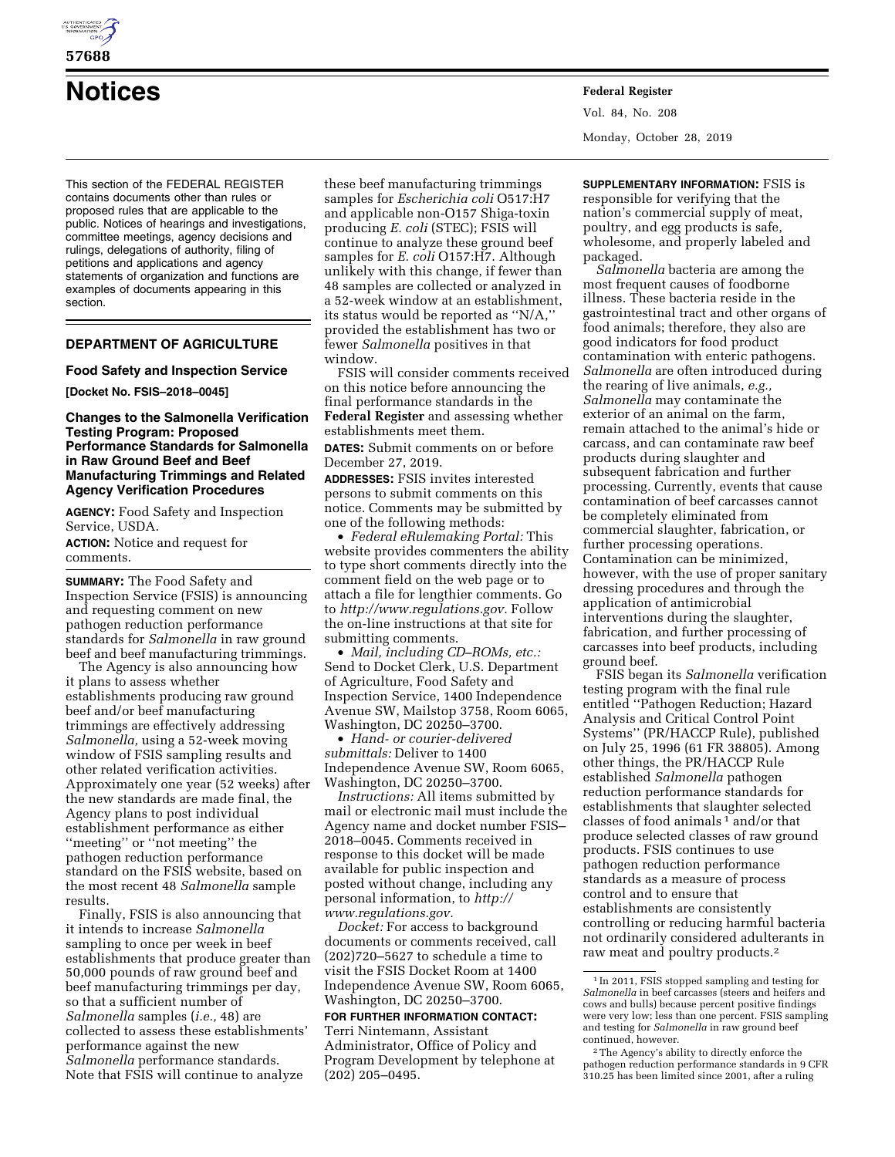

# **57688**

**Notices Federal Register**

This section of the FEDERAL REGISTER contains documents other than rules or proposed rules that are applicable to the public. Notices of hearings and investigations, committee meetings, agency decisions and rulings, delegations of authority, filing of petitions and applications and agency statements of organization and functions are examples of documents appearing in this section.

# **DEPARTMENT OF AGRICULTURE**

### **Food Safety and Inspection Service**

**[Docket No. FSIS–2018–0045]** 

### **Changes to the Salmonella Verification Testing Program: Proposed Performance Standards for Salmonella in Raw Ground Beef and Beef Manufacturing Trimmings and Related Agency Verification Procedures**

**AGENCY:** Food Safety and Inspection Service, USDA. **ACTION:** Notice and request for comments.

**SUMMARY:** The Food Safety and Inspection Service (FSIS) is announcing and requesting comment on new pathogen reduction performance standards for *Salmonella* in raw ground beef and beef manufacturing trimmings.

The Agency is also announcing how it plans to assess whether establishments producing raw ground beef and/or beef manufacturing trimmings are effectively addressing *Salmonella,* using a 52-week moving window of FSIS sampling results and other related verification activities. Approximately one year (52 weeks) after the new standards are made final, the Agency plans to post individual establishment performance as either ''meeting'' or ''not meeting'' the pathogen reduction performance standard on the FSIS website, based on the most recent 48 *Salmonella* sample results.

Finally, FSIS is also announcing that it intends to increase *Salmonella*  sampling to once per week in beef establishments that produce greater than 50,000 pounds of raw ground beef and beef manufacturing trimmings per day, so that a sufficient number of *Salmonella* samples (*i.e.,* 48) are collected to assess these establishments' performance against the new *Salmonella* performance standards. Note that FSIS will continue to analyze

these beef manufacturing trimmings samples for *Escherichia coli* O517:H7 and applicable non-O157 Shiga-toxin producing *E. coli* (STEC); FSIS will continue to analyze these ground beef samples for *E. coli* O157:H7. Although unlikely with this change, if fewer than 48 samples are collected or analyzed in a 52-week window at an establishment, its status would be reported as ''N/A,'' provided the establishment has two or fewer *Salmonella* positives in that window.

FSIS will consider comments received on this notice before announcing the final performance standards in the **Federal Register** and assessing whether establishments meet them.

**DATES:** Submit comments on or before December 27, 2019.

**ADDRESSES:** FSIS invites interested persons to submit comments on this notice. Comments may be submitted by one of the following methods:

• *Federal eRulemaking Portal:* This website provides commenters the ability to type short comments directly into the comment field on the web page or to attach a file for lengthier comments. Go to *[http://www.regulations.gov.](http://www.regulations.gov)* Follow the on-line instructions at that site for submitting comments.

• *Mail, including CD–ROMs, etc.:*  Send to Docket Clerk, U.S. Department of Agriculture, Food Safety and Inspection Service, 1400 Independence Avenue SW, Mailstop 3758, Room 6065, Washington, DC 20250–3700.

• *Hand- or courier-delivered submittals:* Deliver to 1400 Independence Avenue SW, Room 6065, Washington, DC 20250–3700.

*Instructions:* All items submitted by mail or electronic mail must include the Agency name and docket number FSIS– 2018–0045. Comments received in response to this docket will be made available for public inspection and posted without change, including any personal information, to *[http://](http://www.regulations.gov) [www.regulations.gov.](http://www.regulations.gov)* 

*Docket:* For access to background documents or comments received, call (202)720–5627 to schedule a time to visit the FSIS Docket Room at 1400 Independence Avenue SW, Room 6065, Washington, DC 20250–3700.

# **FOR FURTHER INFORMATION CONTACT:**

Terri Nintemann, Assistant Administrator, Office of Policy and Program Development by telephone at (202) 205–0495.

Vol. 84, No. 208 Monday, October 28, 2019

**SUPPLEMENTARY INFORMATION:** FSIS is responsible for verifying that the nation's commercial supply of meat, poultry, and egg products is safe, wholesome, and properly labeled and packaged.

*Salmonella* bacteria are among the most frequent causes of foodborne illness. These bacteria reside in the gastrointestinal tract and other organs of food animals; therefore, they also are good indicators for food product contamination with enteric pathogens. *Salmonella* are often introduced during the rearing of live animals, *e.g., Salmonella* may contaminate the exterior of an animal on the farm, remain attached to the animal's hide or carcass, and can contaminate raw beef products during slaughter and subsequent fabrication and further processing. Currently, events that cause contamination of beef carcasses cannot be completely eliminated from commercial slaughter, fabrication, or further processing operations. Contamination can be minimized, however, with the use of proper sanitary dressing procedures and through the application of antimicrobial interventions during the slaughter, fabrication, and further processing of carcasses into beef products, including ground beef.

FSIS began its *Salmonella* verification testing program with the final rule entitled ''Pathogen Reduction; Hazard Analysis and Critical Control Point Systems'' (PR/HACCP Rule), published on July 25, 1996 (61 FR 38805). Among other things, the PR/HACCP Rule established *Salmonella* pathogen reduction performance standards for establishments that slaughter selected classes of food animals 1 and/or that produce selected classes of raw ground products. FSIS continues to use pathogen reduction performance standards as a measure of process control and to ensure that establishments are consistently controlling or reducing harmful bacteria not ordinarily considered adulterants in raw meat and poultry products.2

 $^{\rm 1}\!$  In 2011, FSIS stopped sampling and testing for *Salmonella* in beef carcasses (steers and heifers and cows and bulls) because percent positive findings were very low; less than one percent. FSIS sampling and testing for *Salmonella* in raw ground beef continued, however.

<sup>2</sup>The Agency's ability to directly enforce the pathogen reduction performance standards in 9 CFR 310.25 has been limited since 2001, after a ruling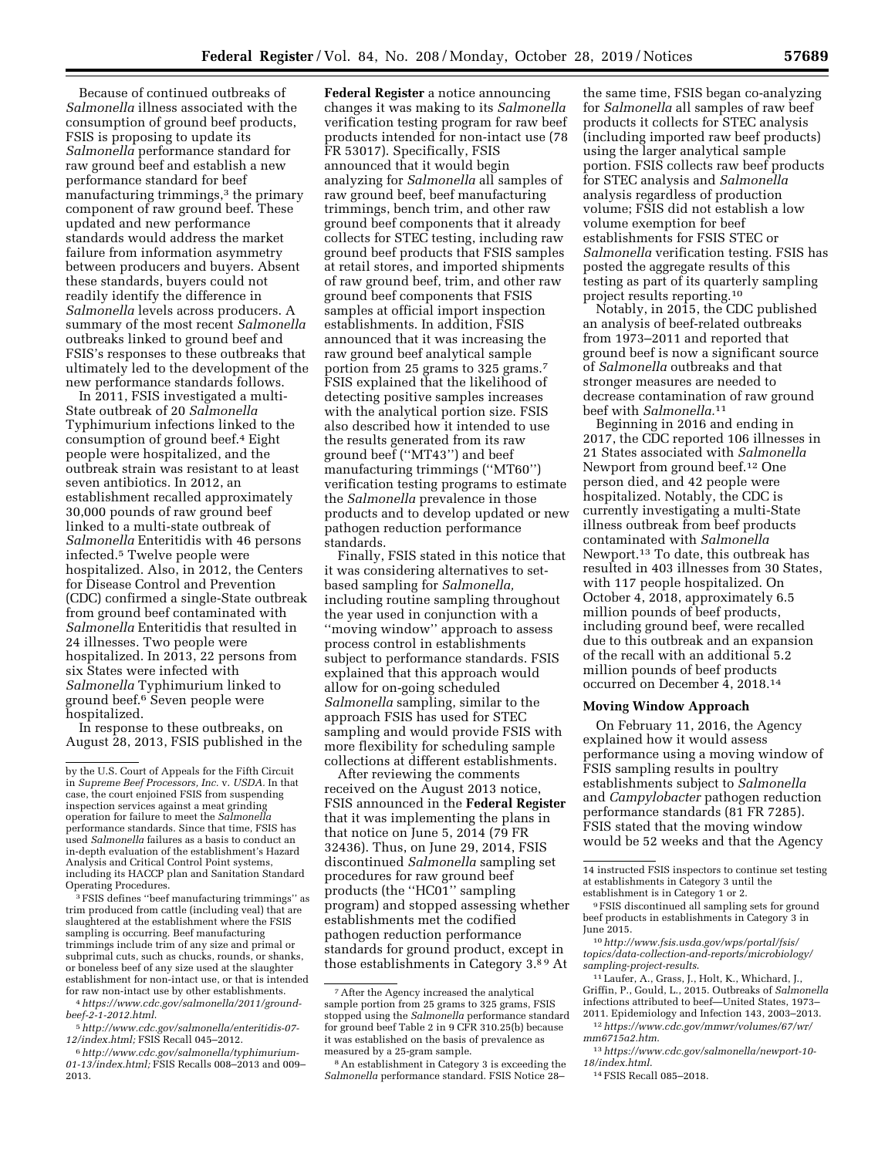Because of continued outbreaks of *Salmonella* illness associated with the consumption of ground beef products, FSIS is proposing to update its *Salmonella* performance standard for raw ground beef and establish a new performance standard for beef manufacturing trimmings,<sup>3</sup> the primary component of raw ground beef. These updated and new performance standards would address the market failure from information asymmetry between producers and buyers. Absent these standards, buyers could not readily identify the difference in *Salmonella* levels across producers. A summary of the most recent *Salmonella*  outbreaks linked to ground beef and FSIS's responses to these outbreaks that ultimately led to the development of the new performance standards follows.

In 2011, FSIS investigated a multi-State outbreak of 20 *Salmonella*  Typhimurium infections linked to the consumption of ground beef.4 Eight people were hospitalized, and the outbreak strain was resistant to at least seven antibiotics. In 2012, an establishment recalled approximately 30,000 pounds of raw ground beef linked to a multi-state outbreak of *Salmonella* Enteritidis with 46 persons infected.5 Twelve people were hospitalized. Also, in 2012, the Centers for Disease Control and Prevention (CDC) confirmed a single-State outbreak from ground beef contaminated with *Salmonella* Enteritidis that resulted in 24 illnesses. Two people were hospitalized. In 2013, 22 persons from six States were infected with *Salmonella* Typhimurium linked to ground beef.6 Seven people were hospitalized.

In response to these outbreaks, on August 28, 2013, FSIS published in the

3FSIS defines ''beef manufacturing trimmings'' as trim produced from cattle (including veal) that are slaughtered at the establishment where the FSIS sampling is occurring. Beef manufacturing trimmings include trim of any size and primal or subprimal cuts, such as chucks, rounds, or shanks, or boneless beef of any size used at the slaughter establishment for non-intact use, or that is intended for raw non-intact use by other establishments.

**Federal Register** a notice announcing changes it was making to its *Salmonella*  verification testing program for raw beef products intended for non-intact use (78 FR 53017). Specifically, FSIS announced that it would begin analyzing for *Salmonella* all samples of raw ground beef, beef manufacturing trimmings, bench trim, and other raw ground beef components that it already collects for STEC testing, including raw ground beef products that FSIS samples at retail stores, and imported shipments of raw ground beef, trim, and other raw ground beef components that FSIS samples at official import inspection establishments. In addition, FSIS announced that it was increasing the raw ground beef analytical sample portion from 25 grams to 325 grams.7 FSIS explained that the likelihood of detecting positive samples increases with the analytical portion size. FSIS also described how it intended to use the results generated from its raw ground beef (''MT43'') and beef manufacturing trimmings (''MT60'') verification testing programs to estimate the *Salmonella* prevalence in those products and to develop updated or new pathogen reduction performance standards.

Finally, FSIS stated in this notice that it was considering alternatives to setbased sampling for *Salmonella,*  including routine sampling throughout the year used in conjunction with a ''moving window'' approach to assess process control in establishments subject to performance standards. FSIS explained that this approach would allow for on-going scheduled *Salmonella* sampling, similar to the approach FSIS has used for STEC sampling and would provide FSIS with more flexibility for scheduling sample collections at different establishments.

After reviewing the comments received on the August 2013 notice, FSIS announced in the **Federal Register**  that it was implementing the plans in that notice on June 5, 2014 (79 FR 32436). Thus, on June 29, 2014, FSIS discontinued *Salmonella* sampling set procedures for raw ground beef products (the ''HC01'' sampling program) and stopped assessing whether establishments met the codified pathogen reduction performance standards for ground product, except in those establishments in Category 3.8 9 At

the same time, FSIS began co-analyzing for *Salmonella* all samples of raw beef products it collects for STEC analysis (including imported raw beef products) using the larger analytical sample portion. FSIS collects raw beef products for STEC analysis and *Salmonella*  analysis regardless of production volume; FSIS did not establish a low volume exemption for beef establishments for FSIS STEC or *Salmonella* verification testing. FSIS has posted the aggregate results of this testing as part of its quarterly sampling project results reporting.10

Notably, in 2015, the CDC published an analysis of beef-related outbreaks from 1973–2011 and reported that ground beef is now a significant source of *Salmonella* outbreaks and that stronger measures are needed to decrease contamination of raw ground beef with *Salmonella.*11

Beginning in 2016 and ending in 2017, the CDC reported 106 illnesses in 21 States associated with *Salmonella*  Newport from ground beef.12 One person died, and 42 people were hospitalized. Notably, the CDC is currently investigating a multi-State illness outbreak from beef products contaminated with *Salmonella*  Newport.13 To date, this outbreak has resulted in 403 illnesses from 30 States, with 117 people hospitalized. On October 4, 2018, approximately 6.5 million pounds of beef products, including ground beef, were recalled due to this outbreak and an expansion of the recall with an additional 5.2 million pounds of beef products occurred on December 4, 2018.14

### **Moving Window Approach**

On February 11, 2016, the Agency explained how it would assess performance using a moving window of FSIS sampling results in poultry establishments subject to *Salmonella*  and *Campylobacter* pathogen reduction performance standards (81 FR 7285). FSIS stated that the moving window would be 52 weeks and that the Agency

12*[https://www.cdc.gov/mmwr/volumes/67/wr/](https://www.cdc.gov/mmwr/volumes/67/wr/mm6715a2.htm)  [mm6715a2.htm](https://www.cdc.gov/mmwr/volumes/67/wr/mm6715a2.htm)*.

by the U.S. Court of Appeals for the Fifth Circuit in *Supreme Beef Processors, Inc.* v. *USDA.* In that case, the court enjoined FSIS from suspending inspection services against a meat grinding operation for failure to meet the *Salmonella*  performance standards. Since that time, FSIS has used *Salmonella* failures as a basis to conduct an in-depth evaluation of the establishment's Hazard Analysis and Critical Control Point systems, including its HACCP plan and Sanitation Standard Operating Procedures.

<sup>4</sup>*[https://www.cdc.gov/salmonella/2011/ground](https://www.cdc.gov/salmonella/2011/ground-beef-2-1-2012.html)[beef-2-1-2012.html](https://www.cdc.gov/salmonella/2011/ground-beef-2-1-2012.html)*.

<sup>5</sup>*[http://www.cdc.gov/salmonella/enteritidis-07-](http://www.cdc.gov/salmonella/enteritidis-07-12/index.html)  [12/index.html;](http://www.cdc.gov/salmonella/enteritidis-07-12/index.html)* FSIS Recall 045–2012.

<sup>6</sup>*[http://www.cdc.gov/salmonella/typhimurium-](http://www.cdc.gov/salmonella/typhimurium-01-13/index.html)[01-13/index.html;](http://www.cdc.gov/salmonella/typhimurium-01-13/index.html)* FSIS Recalls 008–2013 and 009– 2013.

<sup>7</sup>After the Agency increased the analytical sample portion from 25 grams to 325 grams, FSIS stopped using the *Salmonella* performance standard for ground beef Table 2 in 9 CFR 310.25(b) because it was established on the basis of prevalence as measured by a 25-gram sample.

<sup>8</sup>An establishment in Category 3 is exceeding the *Salmonella* performance standard. FSIS Notice 28–

<sup>14</sup> instructed FSIS inspectors to continue set testing at establishments in Category 3 until the establishment is in Category 1 or 2.

<sup>9</sup>FSIS discontinued all sampling sets for ground beef products in establishments in Category 3 in June 2015.

<sup>10</sup>*[http://www.fsis.usda.gov/wps/portal/fsis/](http://www.fsis.usda.gov/wps/portal/fsis/topics/data-collection-and-reports/microbiology/sampling-project-results)  [topics/data-collection-and-reports/microbiology/](http://www.fsis.usda.gov/wps/portal/fsis/topics/data-collection-and-reports/microbiology/sampling-project-results) [sampling-project-results](http://www.fsis.usda.gov/wps/portal/fsis/topics/data-collection-and-reports/microbiology/sampling-project-results)*.

<sup>11</sup>Laufer, A., Grass, J., Holt, K., Whichard, J., Griffin, P., Gould, L., 2015. Outbreaks of *Salmonella*  infections attributed to beef—United States, 1973– 2011. Epidemiology and Infection 143, 2003–2013.

<sup>13</sup>*[https://www.cdc.gov/salmonella/newport-10-](https://www.cdc.gov/salmonella/newport-10-18/index.html)  [18/index.html](https://www.cdc.gov/salmonella/newport-10-18/index.html)*.

<sup>14</sup>FSIS Recall 085–2018.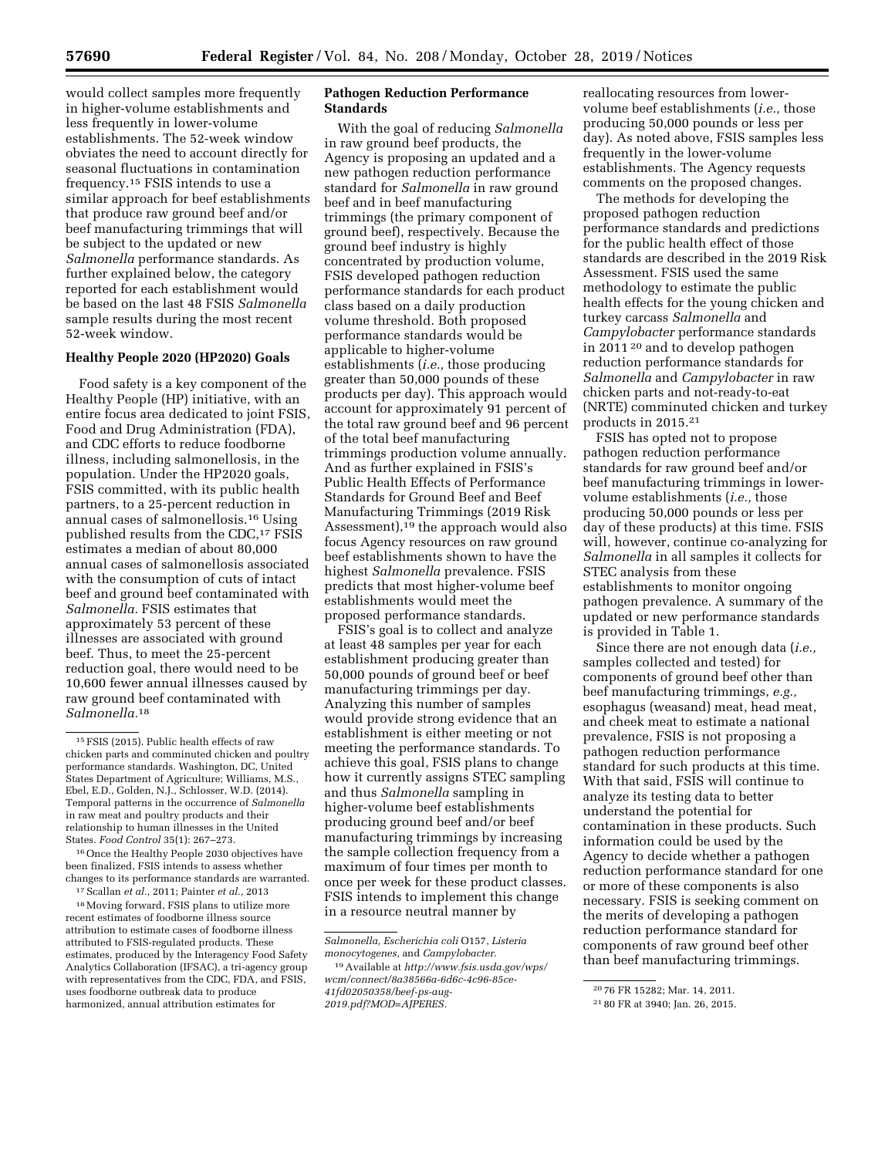would collect samples more frequently in higher-volume establishments and less frequently in lower-volume establishments. The 52-week window obviates the need to account directly for seasonal fluctuations in contamination frequency.15 FSIS intends to use a similar approach for beef establishments that produce raw ground beef and/or beef manufacturing trimmings that will be subject to the updated or new *Salmonella* performance standards. As further explained below, the category reported for each establishment would be based on the last 48 FSIS *Salmonella*  sample results during the most recent 52-week window.

### **Healthy People 2020 (HP2020) Goals**

Food safety is a key component of the Healthy People (HP) initiative, with an entire focus area dedicated to joint FSIS, Food and Drug Administration (FDA), and CDC efforts to reduce foodborne illness, including salmonellosis, in the population. Under the HP2020 goals, FSIS committed, with its public health partners, to a 25-percent reduction in annual cases of salmonellosis.16 Using published results from the CDC,<sup>17</sup> FSIS estimates a median of about 80,000 annual cases of salmonellosis associated with the consumption of cuts of intact beef and ground beef contaminated with *Salmonella.* FSIS estimates that approximately 53 percent of these illnesses are associated with ground beef. Thus, to meet the 25-percent reduction goal, there would need to be 10,600 fewer annual illnesses caused by raw ground beef contaminated with *Salmonella.*18

16Once the Healthy People 2030 objectives have been finalized, FSIS intends to assess whether changes to its performance standards are warranted.

17Scallan *et al.,* 2011; Painter *et al.,* 2013

18Moving forward, FSIS plans to utilize more recent estimates of foodborne illness source attribution to estimate cases of foodborne illness attributed to FSIS-regulated products. These estimates, produced by the Interagency Food Safety Analytics Collaboration (IFSAC), a tri-agency group with representatives from the CDC, FDA, and FSIS, uses foodborne outbreak data to produce harmonized, annual attribution estimates for

# **Pathogen Reduction Performance Standards**

With the goal of reducing *Salmonella*  in raw ground beef products, the Agency is proposing an updated and a new pathogen reduction performance standard for *Salmonella* in raw ground beef and in beef manufacturing trimmings (the primary component of ground beef), respectively. Because the ground beef industry is highly concentrated by production volume, FSIS developed pathogen reduction performance standards for each product class based on a daily production volume threshold. Both proposed performance standards would be applicable to higher-volume establishments (*i.e.,* those producing greater than 50,000 pounds of these products per day). This approach would account for approximately 91 percent of the total raw ground beef and 96 percent of the total beef manufacturing trimmings production volume annually. And as further explained in FSIS's Public Health Effects of Performance Standards for Ground Beef and Beef Manufacturing Trimmings (2019 Risk Assessment),19 the approach would also focus Agency resources on raw ground beef establishments shown to have the highest *Salmonella* prevalence. FSIS predicts that most higher-volume beef establishments would meet the proposed performance standards.

FSIS's goal is to collect and analyze at least 48 samples per year for each establishment producing greater than 50,000 pounds of ground beef or beef manufacturing trimmings per day. Analyzing this number of samples would provide strong evidence that an establishment is either meeting or not meeting the performance standards. To achieve this goal, FSIS plans to change how it currently assigns STEC sampling and thus *Salmonella* sampling in higher-volume beef establishments producing ground beef and/or beef manufacturing trimmings by increasing the sample collection frequency from a maximum of four times per month to once per week for these product classes. FSIS intends to implement this change in a resource neutral manner by

reallocating resources from lowervolume beef establishments (*i.e.,* those producing 50,000 pounds or less per day). As noted above, FSIS samples less frequently in the lower-volume establishments. The Agency requests comments on the proposed changes.

The methods for developing the proposed pathogen reduction performance standards and predictions for the public health effect of those standards are described in the 2019 Risk Assessment. FSIS used the same methodology to estimate the public health effects for the young chicken and turkey carcass *Salmonella* and *Campylobacter* performance standards in 2011 20 and to develop pathogen reduction performance standards for *Salmonella* and *Campylobacter* in raw chicken parts and not-ready-to-eat (NRTE) comminuted chicken and turkey products in 2015.21

FSIS has opted not to propose pathogen reduction performance standards for raw ground beef and/or beef manufacturing trimmings in lowervolume establishments (*i.e.,* those producing 50,000 pounds or less per day of these products) at this time. FSIS will, however, continue co-analyzing for *Salmonella* in all samples it collects for STEC analysis from these establishments to monitor ongoing pathogen prevalence. A summary of the updated or new performance standards is provided in Table 1.

Since there are not enough data (*i.e.,*  samples collected and tested) for components of ground beef other than beef manufacturing trimmings, *e.g.,*  esophagus (weasand) meat, head meat, and cheek meat to estimate a national prevalence, FSIS is not proposing a pathogen reduction performance standard for such products at this time. With that said, FSIS will continue to analyze its testing data to better understand the potential for contamination in these products. Such information could be used by the Agency to decide whether a pathogen reduction performance standard for one or more of these components is also necessary. FSIS is seeking comment on the merits of developing a pathogen reduction performance standard for components of raw ground beef other than beef manufacturing trimmings.

<sup>15</sup>FSIS (2015). Public health effects of raw chicken parts and comminuted chicken and poultry performance standards. Washington, DC, United States Department of Agriculture; Williams, M.S., Ebel, E.D., Golden, N.J., Schlosser, W.D. (2014). Temporal patterns in the occurrence of *Salmonella*  in raw meat and poultry products and their relationship to human illnesses in the United States. *Food Control* 35(1): 267–273.

*Salmonella, Escherichia coli* O157, *Listeria monocytogenes,* and *Campylobacter*.

<sup>19</sup>Available at *[http://www.fsis.usda.gov/wps/](http://www.fsis.usda.gov/wps/wcm/connect/8a38566a-6d6c-4c96-85ce-41fd02050358/beef-ps-aug-2019.pdf?MOD=AJPERES) [wcm/connect/8a38566a-6d6c-4c96-85ce-](http://www.fsis.usda.gov/wps/wcm/connect/8a38566a-6d6c-4c96-85ce-41fd02050358/beef-ps-aug-2019.pdf?MOD=AJPERES)[41fd02050358/beef-ps-aug-](http://www.fsis.usda.gov/wps/wcm/connect/8a38566a-6d6c-4c96-85ce-41fd02050358/beef-ps-aug-2019.pdf?MOD=AJPERES)[2019.pdf?MOD=AJPERES.](http://www.fsis.usda.gov/wps/wcm/connect/8a38566a-6d6c-4c96-85ce-41fd02050358/beef-ps-aug-2019.pdf?MOD=AJPERES)* 

<sup>20</sup> 76 FR 15282; Mar. 14, 2011.

<sup>21</sup> 80 FR at 3940; Jan. 26, 2015.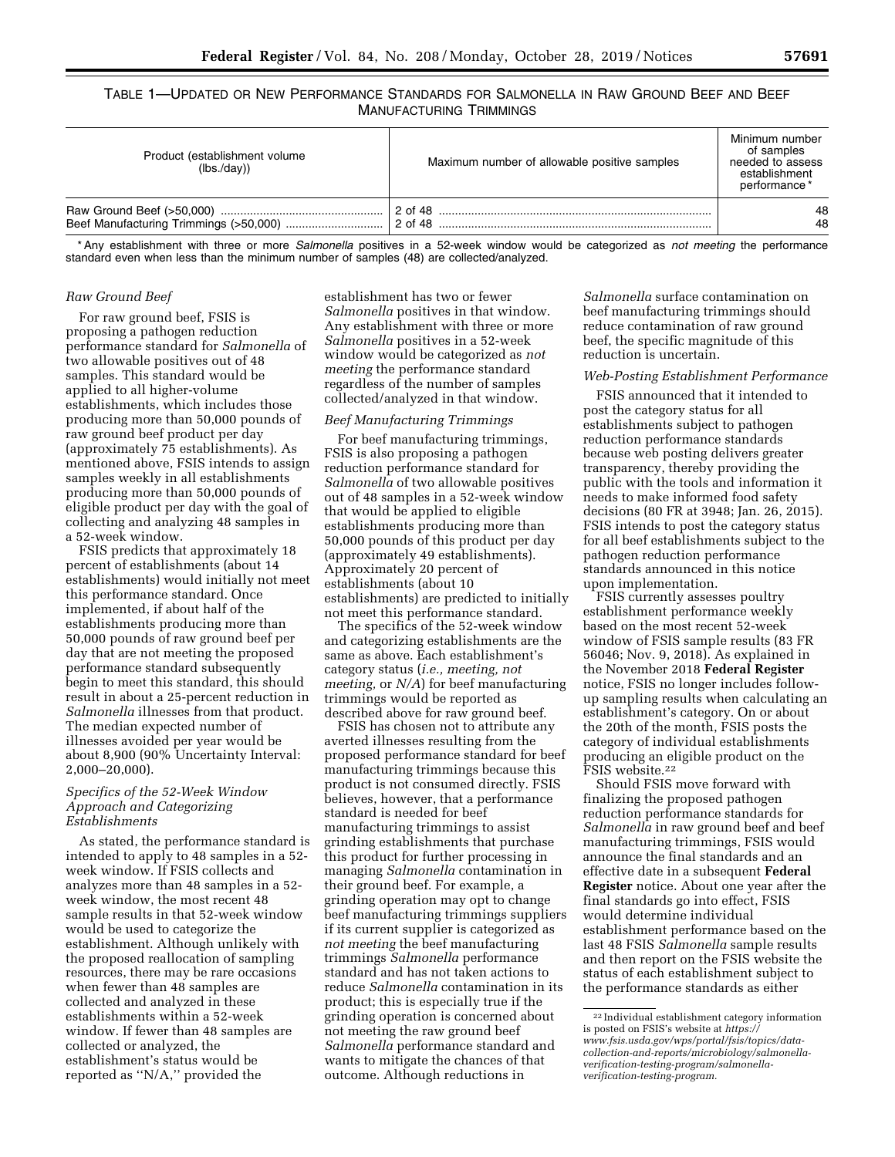TABLE 1—UPDATED OR NEW PERFORMANCE STANDARDS FOR SALMONELLA IN RAW GROUND BEEF AND BEEF MANUFACTURING TRIMMINGS

| Product (establishment volume<br>(lbs./day)) | Maximum number of allowable positive samples | Minimum number<br>of samples<br>needed to assess<br>establishment<br>performance* |
|----------------------------------------------|----------------------------------------------|-----------------------------------------------------------------------------------|
|                                              | 2 of 48                                      | 48                                                                                |
|                                              | 2 of 48                                      | 48                                                                                |

\* Any establishment with three or more *Salmonella* positives in a 52-week window would be categorized as *not meeting* the performance standard even when less than the minimum number of samples (48) are collected/analyzed.

### *Raw Ground Beef*

For raw ground beef, FSIS is proposing a pathogen reduction performance standard for *Salmonella* of two allowable positives out of 48 samples. This standard would be applied to all higher-volume establishments, which includes those producing more than 50,000 pounds of raw ground beef product per day (approximately 75 establishments). As mentioned above, FSIS intends to assign samples weekly in all establishments producing more than 50,000 pounds of eligible product per day with the goal of collecting and analyzing 48 samples in a 52-week window.

FSIS predicts that approximately 18 percent of establishments (about 14 establishments) would initially not meet this performance standard. Once implemented, if about half of the establishments producing more than 50,000 pounds of raw ground beef per day that are not meeting the proposed performance standard subsequently begin to meet this standard, this should result in about a 25-percent reduction in *Salmonella* illnesses from that product. The median expected number of illnesses avoided per year would be about 8,900 (90% Uncertainty Interval: 2,000–20,000).

### *Specifics of the 52-Week Window Approach and Categorizing Establishments*

As stated, the performance standard is intended to apply to 48 samples in a 52 week window. If FSIS collects and analyzes more than 48 samples in a 52 week window, the most recent 48 sample results in that 52-week window would be used to categorize the establishment. Although unlikely with the proposed reallocation of sampling resources, there may be rare occasions when fewer than 48 samples are collected and analyzed in these establishments within a 52-week window. If fewer than 48 samples are collected or analyzed, the establishment's status would be reported as ''N/A,'' provided the

establishment has two or fewer *Salmonella* positives in that window. Any establishment with three or more *Salmonella* positives in a 52-week window would be categorized as *not meeting* the performance standard regardless of the number of samples collected/analyzed in that window.

### *Beef Manufacturing Trimmings*

For beef manufacturing trimmings, FSIS is also proposing a pathogen reduction performance standard for *Salmonella* of two allowable positives out of 48 samples in a 52-week window that would be applied to eligible establishments producing more than 50,000 pounds of this product per day (approximately 49 establishments). Approximately 20 percent of establishments (about 10 establishments) are predicted to initially not meet this performance standard.

The specifics of the 52-week window and categorizing establishments are the same as above. Each establishment's category status (*i.e., meeting, not meeting,* or *N/A*) for beef manufacturing trimmings would be reported as described above for raw ground beef.

FSIS has chosen not to attribute any averted illnesses resulting from the proposed performance standard for beef manufacturing trimmings because this product is not consumed directly. FSIS believes, however, that a performance standard is needed for beef manufacturing trimmings to assist grinding establishments that purchase this product for further processing in managing *Salmonella* contamination in their ground beef. For example, a grinding operation may opt to change beef manufacturing trimmings suppliers if its current supplier is categorized as *not meeting* the beef manufacturing trimmings *Salmonella* performance standard and has not taken actions to reduce *Salmonella* contamination in its product; this is especially true if the grinding operation is concerned about not meeting the raw ground beef *Salmonella* performance standard and wants to mitigate the chances of that outcome. Although reductions in

*Salmonella* surface contamination on beef manufacturing trimmings should reduce contamination of raw ground beef, the specific magnitude of this reduction is uncertain.

#### *Web-Posting Establishment Performance*

FSIS announced that it intended to post the category status for all establishments subject to pathogen reduction performance standards because web posting delivers greater transparency, thereby providing the public with the tools and information it needs to make informed food safety decisions (80 FR at 3948; Jan. 26, 2015). FSIS intends to post the category status for all beef establishments subject to the pathogen reduction performance standards announced in this notice upon implementation.

FSIS currently assesses poultry establishment performance weekly based on the most recent 52-week window of FSIS sample results (83 FR 56046; Nov. 9, 2018). As explained in the November 2018 **Federal Register**  notice, FSIS no longer includes followup sampling results when calculating an establishment's category. On or about the 20th of the month, FSIS posts the category of individual establishments producing an eligible product on the FSIS website.22

Should FSIS move forward with finalizing the proposed pathogen reduction performance standards for *Salmonella* in raw ground beef and beef manufacturing trimmings, FSIS would announce the final standards and an effective date in a subsequent **Federal Register** notice. About one year after the final standards go into effect, FSIS would determine individual establishment performance based on the last 48 FSIS *Salmonella* sample results and then report on the FSIS website the status of each establishment subject to the performance standards as either

<sup>22</sup> Individual establishment category information is posted on FSIS's website at *[https://](https://www.fsis.usda.gov/wps/portal/fsis/topics/data-collection-and-reports/microbiology/salmonella-verification-testing-program/salmonella-verification-testing-program) www.fsis.usda.gov/wps/portal/fsis/topics/data[collection-and-reports/microbiology/salmonella](https://www.fsis.usda.gov/wps/portal/fsis/topics/data-collection-and-reports/microbiology/salmonella-verification-testing-program/salmonella-verification-testing-program)verification-testing-program/salmonella[verification-testing-program.](https://www.fsis.usda.gov/wps/portal/fsis/topics/data-collection-and-reports/microbiology/salmonella-verification-testing-program/salmonella-verification-testing-program)*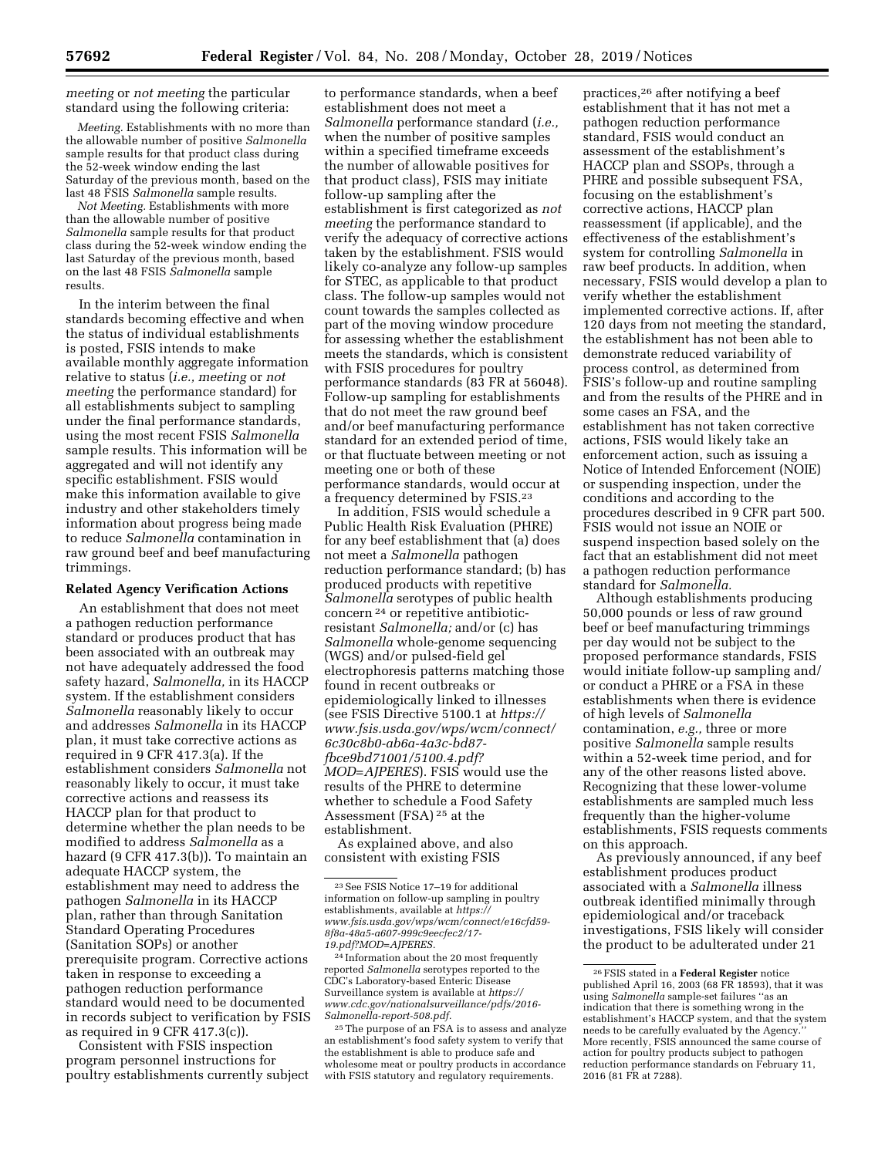*meeting* or *not meeting* the particular standard using the following criteria:

*Meeting.* Establishments with no more than the allowable number of positive *Salmonella*  sample results for that product class during the 52-week window ending the last Saturday of the previous month, based on the last 48 FSIS *Salmonella* sample results.

*Not Meeting.* Establishments with more than the allowable number of positive *Salmonella* sample results for that product class during the 52-week window ending the last Saturday of the previous month, based on the last 48 FSIS *Salmonella* sample results.

In the interim between the final standards becoming effective and when the status of individual establishments is posted, FSIS intends to make available monthly aggregate information relative to status (*i.e., meeting* or *not meeting* the performance standard) for all establishments subject to sampling under the final performance standards, using the most recent FSIS *Salmonella*  sample results. This information will be aggregated and will not identify any specific establishment. FSIS would make this information available to give industry and other stakeholders timely information about progress being made to reduce *Salmonella* contamination in raw ground beef and beef manufacturing trimmings.

#### **Related Agency Verification Actions**

An establishment that does not meet a pathogen reduction performance standard or produces product that has been associated with an outbreak may not have adequately addressed the food safety hazard, *Salmonella,* in its HACCP system. If the establishment considers *Salmonella* reasonably likely to occur and addresses *Salmonella* in its HACCP plan, it must take corrective actions as required in 9 CFR 417.3(a). If the establishment considers *Salmonella* not reasonably likely to occur, it must take corrective actions and reassess its HACCP plan for that product to determine whether the plan needs to be modified to address *Salmonella* as a hazard (9 CFR 417.3(b)). To maintain an adequate HACCP system, the establishment may need to address the pathogen *Salmonella* in its HACCP plan, rather than through Sanitation Standard Operating Procedures (Sanitation SOPs) or another prerequisite program. Corrective actions taken in response to exceeding a pathogen reduction performance standard would need to be documented in records subject to verification by FSIS as required in 9 CFR 417.3(c)).

Consistent with FSIS inspection program personnel instructions for poultry establishments currently subject

to performance standards, when a beef establishment does not meet a *Salmonella* performance standard (*i.e.,*  when the number of positive samples within a specified timeframe exceeds the number of allowable positives for that product class), FSIS may initiate follow-up sampling after the establishment is first categorized as *not meeting* the performance standard to verify the adequacy of corrective actions taken by the establishment. FSIS would likely co-analyze any follow-up samples for STEC, as applicable to that product class. The follow-up samples would not count towards the samples collected as part of the moving window procedure for assessing whether the establishment meets the standards, which is consistent with FSIS procedures for poultry performance standards (83 FR at 56048). Follow-up sampling for establishments that do not meet the raw ground beef and/or beef manufacturing performance standard for an extended period of time, or that fluctuate between meeting or not meeting one or both of these performance standards, would occur at a frequency determined by FSIS.23

In addition, FSIS would schedule a Public Health Risk Evaluation (PHRE) for any beef establishment that (a) does not meet a *Salmonella* pathogen reduction performance standard; (b) has produced products with repetitive *Salmonella* serotypes of public health concern 24 or repetitive antibioticresistant *Salmonella;* and/or (c) has *Salmonella* whole-genome sequencing (WGS) and/or pulsed-field gel electrophoresis patterns matching those found in recent outbreaks or epidemiologically linked to illnesses (see FSIS Directive 5100.1 at *[https://](https://www.fsis.usda.gov/wps/wcm/connect/6c30c8b0-ab6a-4a3c-bd87-fbce9bd71001/5100.4.pdf?MOD=AJPERES) [www.fsis.usda.gov/wps/wcm/connect/](https://www.fsis.usda.gov/wps/wcm/connect/6c30c8b0-ab6a-4a3c-bd87-fbce9bd71001/5100.4.pdf?MOD=AJPERES) [6c30c8b0-ab6a-4a3c-bd87](https://www.fsis.usda.gov/wps/wcm/connect/6c30c8b0-ab6a-4a3c-bd87-fbce9bd71001/5100.4.pdf?MOD=AJPERES) [fbce9bd71001/5100.4.pdf?](https://www.fsis.usda.gov/wps/wcm/connect/6c30c8b0-ab6a-4a3c-bd87-fbce9bd71001/5100.4.pdf?MOD=AJPERES) [MOD=AJPERES](https://www.fsis.usda.gov/wps/wcm/connect/6c30c8b0-ab6a-4a3c-bd87-fbce9bd71001/5100.4.pdf?MOD=AJPERES)*). FSIS would use the results of the PHRE to determine whether to schedule a Food Safety Assessment (FSA) 25 at the establishment.

As explained above, and also consistent with existing FSIS

practices,26 after notifying a beef establishment that it has not met a pathogen reduction performance standard, FSIS would conduct an assessment of the establishment's HACCP plan and SSOPs, through a PHRE and possible subsequent FSA, focusing on the establishment's corrective actions, HACCP plan reassessment (if applicable), and the effectiveness of the establishment's system for controlling *Salmonella* in raw beef products. In addition, when necessary, FSIS would develop a plan to verify whether the establishment implemented corrective actions. If, after 120 days from not meeting the standard, the establishment has not been able to demonstrate reduced variability of process control, as determined from FSIS's follow-up and routine sampling and from the results of the PHRE and in some cases an FSA, and the establishment has not taken corrective actions, FSIS would likely take an enforcement action, such as issuing a Notice of Intended Enforcement (NOIE) or suspending inspection, under the conditions and according to the procedures described in 9 CFR part 500. FSIS would not issue an NOIE or suspend inspection based solely on the fact that an establishment did not meet a pathogen reduction performance standard for *Salmonella.* 

Although establishments producing 50,000 pounds or less of raw ground beef or beef manufacturing trimmings per day would not be subject to the proposed performance standards, FSIS would initiate follow-up sampling and/ or conduct a PHRE or a FSA in these establishments when there is evidence of high levels of *Salmonella*  contamination, *e.g.,* three or more positive *Salmonella* sample results within a 52-week time period, and for any of the other reasons listed above. Recognizing that these lower-volume establishments are sampled much less frequently than the higher-volume establishments, FSIS requests comments on this approach.

As previously announced, if any beef establishment produces product associated with a *Salmonella* illness outbreak identified minimally through epidemiological and/or traceback investigations, FSIS likely will consider the product to be adulterated under 21

<sup>23</sup>See FSIS Notice 17–19 for additional information on follow-up sampling in poultry establishments, available at *[https://](https://www.fsis.usda.gov/wps/wcm/connect/e16cfd59-8f8a-48a5-a607-999c9eecfec2/17-19.pdf?MOD=AJPERES) [www.fsis.usda.gov/wps/wcm/connect/e16cfd59-](https://www.fsis.usda.gov/wps/wcm/connect/e16cfd59-8f8a-48a5-a607-999c9eecfec2/17-19.pdf?MOD=AJPERES)  [8f8a-48a5-a607-999c9eecfec2/17-](https://www.fsis.usda.gov/wps/wcm/connect/e16cfd59-8f8a-48a5-a607-999c9eecfec2/17-19.pdf?MOD=AJPERES)  [19.pdf?MOD=AJPERES.](https://www.fsis.usda.gov/wps/wcm/connect/e16cfd59-8f8a-48a5-a607-999c9eecfec2/17-19.pdf?MOD=AJPERES)* 

<sup>24</sup> Information about the 20 most frequently reported *Salmonella* serotypes reported to the CDC's Laboratory-based Enteric Disease Surveillance system is available at *[https://](https://www.cdc.gov/nationalsurveillance/pdfs/2016-Salmonella-report-508.pdf) [www.cdc.gov/nationalsurveillance/pdfs/2016-](https://www.cdc.gov/nationalsurveillance/pdfs/2016-Salmonella-report-508.pdf) [Salmonella-report-508.pdf.](https://www.cdc.gov/nationalsurveillance/pdfs/2016-Salmonella-report-508.pdf)* 

<sup>25</sup>The purpose of an FSA is to assess and analyze an establishment's food safety system to verify that the establishment is able to produce safe and wholesome meat or poultry products in accordance with FSIS statutory and regulatory requirements.

<sup>26</sup>FSIS stated in a **Federal Register** notice published April 16, 2003 (68 FR 18593), that it was using *Salmonella* sample-set failures ''as an indication that there is something wrong in the establishment's HACCP system, and that the system needs to be carefully evaluated by the Agency. More recently, FSIS announced the same course of action for poultry products subject to pathogen reduction performance standards on February 11, 2016 (81 FR at 7288).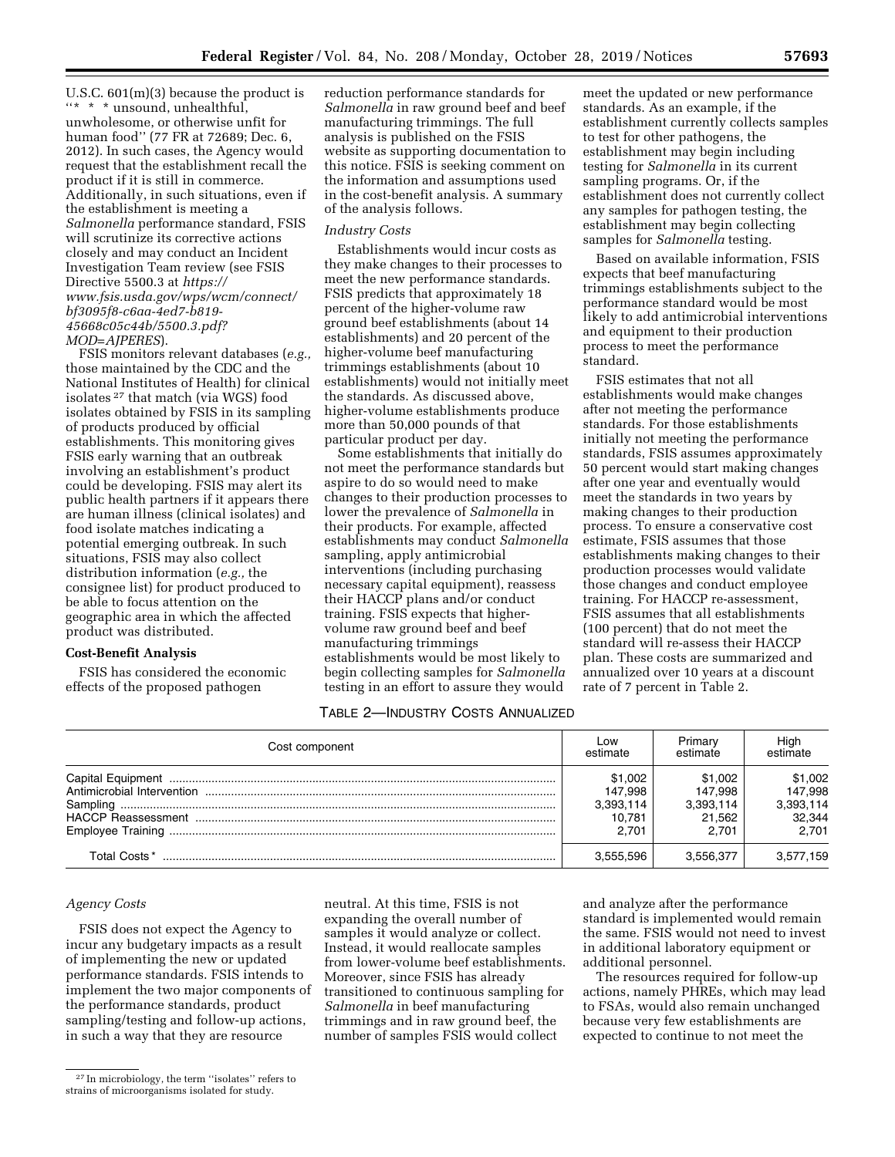U.S.C. 601(m)(3) because the product is ''\* \* \* unsound, unhealthful, unwholesome, or otherwise unfit for human food'' (77 FR at 72689; Dec. 6, 2012). In such cases, the Agency would request that the establishment recall the product if it is still in commerce. Additionally, in such situations, even if the establishment is meeting a *Salmonella* performance standard, FSIS will scrutinize its corrective actions closely and may conduct an Incident Investigation Team review (see FSIS Directive 5500.3 at *[https://](https://www.fsis.usda.gov/wps/wcm/connect/bf3095f8-c6aa-4ed7-b819-45668c05c44b/5500.3.pdf?MOD=AJPERES) [www.fsis.usda.gov/wps/wcm/connect/](https://www.fsis.usda.gov/wps/wcm/connect/bf3095f8-c6aa-4ed7-b819-45668c05c44b/5500.3.pdf?MOD=AJPERES) [bf3095f8-c6aa-4ed7-b819-](https://www.fsis.usda.gov/wps/wcm/connect/bf3095f8-c6aa-4ed7-b819-45668c05c44b/5500.3.pdf?MOD=AJPERES)  [45668c05c44b/5500.3.pdf?](https://www.fsis.usda.gov/wps/wcm/connect/bf3095f8-c6aa-4ed7-b819-45668c05c44b/5500.3.pdf?MOD=AJPERES) [MOD=AJPERES](https://www.fsis.usda.gov/wps/wcm/connect/bf3095f8-c6aa-4ed7-b819-45668c05c44b/5500.3.pdf?MOD=AJPERES)*).

FSIS monitors relevant databases (*e.g.,*  those maintained by the CDC and the National Institutes of Health) for clinical isolates 27 that match (via WGS) food isolates obtained by FSIS in its sampling of products produced by official establishments. This monitoring gives FSIS early warning that an outbreak involving an establishment's product could be developing. FSIS may alert its public health partners if it appears there are human illness (clinical isolates) and food isolate matches indicating a potential emerging outbreak. In such situations, FSIS may also collect distribution information (*e.g.,* the consignee list) for product produced to be able to focus attention on the geographic area in which the affected product was distributed.

### **Cost-Benefit Analysis**

FSIS has considered the economic effects of the proposed pathogen

reduction performance standards for *Salmonella* in raw ground beef and beef manufacturing trimmings. The full analysis is published on the FSIS website as supporting documentation to this notice. FSIS is seeking comment on the information and assumptions used in the cost-benefit analysis. A summary of the analysis follows.

### *Industry Costs*

Establishments would incur costs as they make changes to their processes to meet the new performance standards. FSIS predicts that approximately 18 percent of the higher-volume raw ground beef establishments (about 14 establishments) and 20 percent of the higher-volume beef manufacturing trimmings establishments (about 10 establishments) would not initially meet the standards. As discussed above, higher-volume establishments produce more than 50,000 pounds of that particular product per day.

Some establishments that initially do not meet the performance standards but aspire to do so would need to make changes to their production processes to lower the prevalence of *Salmonella* in their products. For example, affected establishments may conduct *Salmonella*  sampling, apply antimicrobial interventions (including purchasing necessary capital equipment), reassess their HACCP plans and/or conduct training. FSIS expects that highervolume raw ground beef and beef manufacturing trimmings establishments would be most likely to begin collecting samples for *Salmonella*  testing in an effort to assure they would

meet the updated or new performance standards. As an example, if the establishment currently collects samples to test for other pathogens, the establishment may begin including testing for *Salmonella* in its current sampling programs. Or, if the establishment does not currently collect any samples for pathogen testing, the establishment may begin collecting samples for *Salmonella* testing.

Based on available information, FSIS expects that beef manufacturing trimmings establishments subject to the performance standard would be most likely to add antimicrobial interventions and equipment to their production process to meet the performance standard.

FSIS estimates that not all establishments would make changes after not meeting the performance standards. For those establishments initially not meeting the performance standards, FSIS assumes approximately 50 percent would start making changes after one year and eventually would meet the standards in two years by making changes to their production process. To ensure a conservative cost estimate, FSIS assumes that those establishments making changes to their production processes would validate those changes and conduct employee training. For HACCP re-assessment, FSIS assumes that all establishments (100 percent) that do not meet the standard will re-assess their HACCP plan. These costs are summarized and annualized over 10 years at a discount rate of 7 percent in Table 2.

# TABLE 2—INDUSTRY COSTS ANNUALIZED

| Cost component                | Low<br>estimate                                    | Primary<br>estimate                                | High<br>estimate                                   |
|-------------------------------|----------------------------------------------------|----------------------------------------------------|----------------------------------------------------|
| Sampling<br>Emplovee Training | \$1.002<br>147.998<br>3.393.114<br>10.781<br>2.701 | \$1,002<br>147.998<br>3.393.114<br>21.562<br>2.701 | \$1,002<br>147.998<br>3.393.114<br>32,344<br>2.701 |
| Total Costs *                 | 3.555.596                                          | 3.556.377                                          | 3,577,159                                          |

# *Agency Costs*

FSIS does not expect the Agency to incur any budgetary impacts as a result of implementing the new or updated performance standards. FSIS intends to implement the two major components of the performance standards, product sampling/testing and follow-up actions, in such a way that they are resource

expanding the overall number of samples it would analyze or collect. Instead, it would reallocate samples from lower-volume beef establishments. Moreover, since FSIS has already transitioned to continuous sampling for *Salmonella* in beef manufacturing trimmings and in raw ground beef, the number of samples FSIS would collect

neutral. At this time, FSIS is not

and analyze after the performance standard is implemented would remain the same. FSIS would not need to invest in additional laboratory equipment or additional personnel.

The resources required for follow-up actions, namely PHREs, which may lead to FSAs, would also remain unchanged because very few establishments are expected to continue to not meet the

<sup>27</sup> In microbiology, the term ''isolates'' refers to strains of microorganisms isolated for study.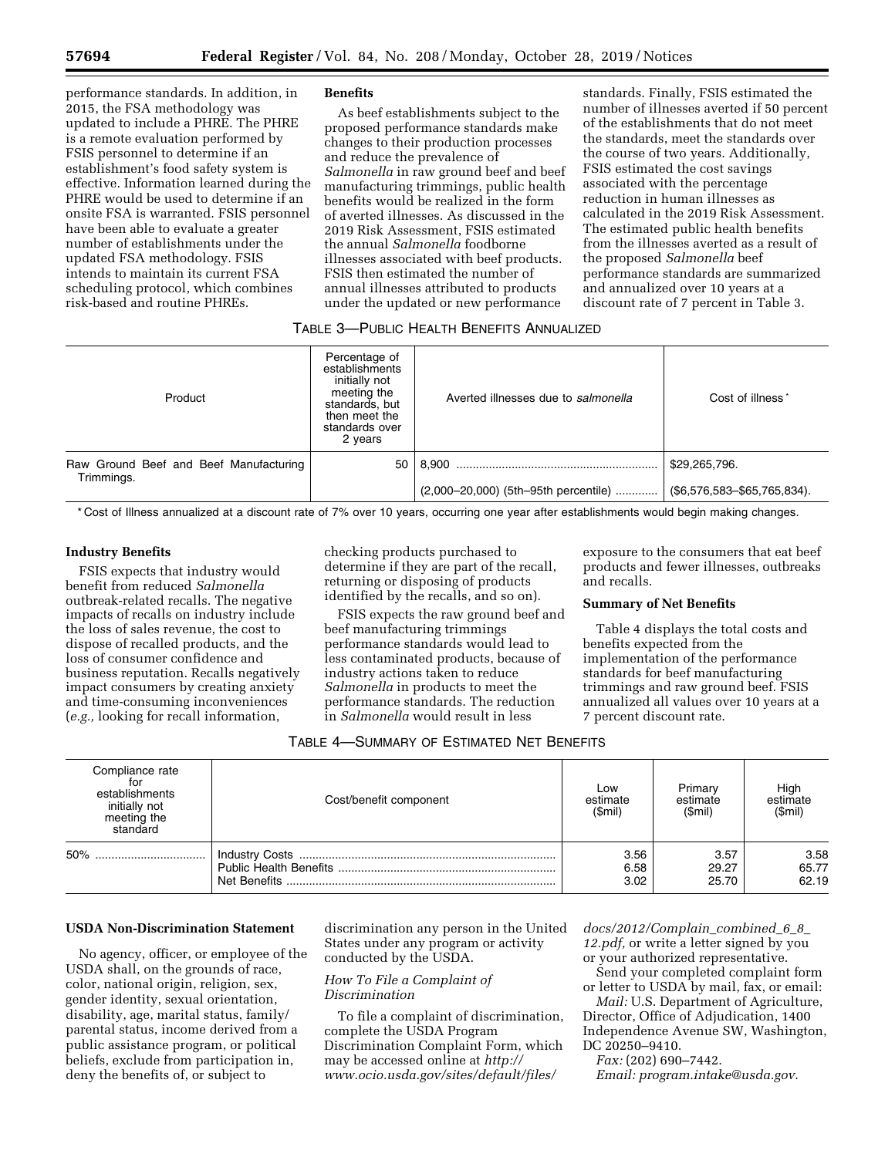performance standards. In addition, in 2015, the FSA methodology was updated to include a PHRE. The PHRE is a remote evaluation performed by FSIS personnel to determine if an establishment's food safety system is effective. Information learned during the PHRE would be used to determine if an onsite FSA is warranted. FSIS personnel have been able to evaluate a greater number of establishments under the updated FSA methodology. FSIS intends to maintain its current FSA scheduling protocol, which combines risk-based and routine PHREs.

#### **Benefits**

As beef establishments subject to the proposed performance standards make changes to their production processes and reduce the prevalence of *Salmonella* in raw ground beef and beef manufacturing trimmings, public health benefits would be realized in the form of averted illnesses. As discussed in the 2019 Risk Assessment, FSIS estimated the annual *Salmonella* foodborne illnesses associated with beef products. FSIS then estimated the number of annual illnesses attributed to products under the updated or new performance

standards. Finally, FSIS estimated the number of illnesses averted if 50 percent of the establishments that do not meet the standards, meet the standards over the course of two years. Additionally, FSIS estimated the cost savings associated with the percentage reduction in human illnesses as calculated in the 2019 Risk Assessment. The estimated public health benefits from the illnesses averted as a result of the proposed *Salmonella* beef performance standards are summarized and annualized over 10 years at a discount rate of 7 percent in Table 3.

# TABLE 3—PUBLIC HEALTH BENEFITS ANNUALIZED

| Product                                              | Percentage of<br>establishments<br>initially not<br>meeting the<br>standards, but<br>then meet the<br>standards over<br>2 years | Averted illnesses due to salmonella  | Cost of illness <sup>*</sup> |
|------------------------------------------------------|---------------------------------------------------------------------------------------------------------------------------------|--------------------------------------|------------------------------|
| Raw Ground Beef and Beef Manufacturing<br>Trimmings. | 50                                                                                                                              | 8.900                                | \$29,265,796.                |
|                                                      |                                                                                                                                 | (2,000-20,000) (5th-95th percentile) | (\$6,576,583-\$65,765,834).  |

\* Cost of Illness annualized at a discount rate of 7% over 10 years, occurring one year after establishments would begin making changes.

# **Industry Benefits**

FSIS expects that industry would benefit from reduced *Salmonella*  outbreak-related recalls. The negative impacts of recalls on industry include the loss of sales revenue, the cost to dispose of recalled products, and the loss of consumer confidence and business reputation. Recalls negatively impact consumers by creating anxiety and time-consuming inconveniences (*e.g.,* looking for recall information,

checking products purchased to determine if they are part of the recall, returning or disposing of products identified by the recalls, and so on).

FSIS expects the raw ground beef and beef manufacturing trimmings performance standards would lead to less contaminated products, because of industry actions taken to reduce *Salmonella* in products to meet the performance standards. The reduction in *Salmonella* would result in less

exposure to the consumers that eat beef products and fewer illnesses, outbreaks and recalls.

### **Summary of Net Benefits**

Table 4 displays the total costs and benefits expected from the implementation of the performance standards for beef manufacturing trimmings and raw ground beef. FSIS annualized all values over 10 years at a 7 percent discount rate.

| Compliance rate<br>for<br>establishments<br>initially not<br>meeting the<br>standard | Cost/benefit component | Low<br>estimate<br>(Smil) | Primary<br>estimate<br>(Smil) | High<br>estimate<br>(Smil) |
|--------------------------------------------------------------------------------------|------------------------|---------------------------|-------------------------------|----------------------------|
| 50%<br>                                                                              |                        | 3.56<br>6.58<br>3.02      | 3.57<br>29.27<br>25.70        | 3.58<br>65.77<br>62.19     |

### **USDA Non-Discrimination Statement**

No agency, officer, or employee of the USDA shall, on the grounds of race, color, national origin, religion, sex, gender identity, sexual orientation, disability, age, marital status, family/ parental status, income derived from a public assistance program, or political beliefs, exclude from participation in, deny the benefits of, or subject to

discrimination any person in the United States under any program or activity conducted by the USDA.

# *How To File a Complaint of Discrimination*

To file a complaint of discrimination, complete the USDA Program Discrimination Complaint Form, which may be accessed online at *[http://](http://www.ocio.usda.gov/sites/default/files/docs/2012/Complain_combined_6_8_12.pdf) [www.ocio.usda.gov/sites/default/files/](http://www.ocio.usda.gov/sites/default/files/docs/2012/Complain_combined_6_8_12.pdf)* 

*[docs/2012/Complain](http://www.ocio.usda.gov/sites/default/files/docs/2012/Complain_combined_6_8_12.pdf)*\_*combined*\_*6*\_*8*\_ *[12.pdf,](http://www.ocio.usda.gov/sites/default/files/docs/2012/Complain_combined_6_8_12.pdf)* or write a letter signed by you or your authorized representative.

Send your completed complaint form or letter to USDA by mail, fax, or email:

*Mail:* U.S. Department of Agriculture, Director, Office of Adjudication, 1400 Independence Avenue SW, Washington, DC 20250–9410.

*Fax:* (202) 690–7442.

*Email: [program.intake@usda.gov.](mailto:program.intake@usda.gov)*